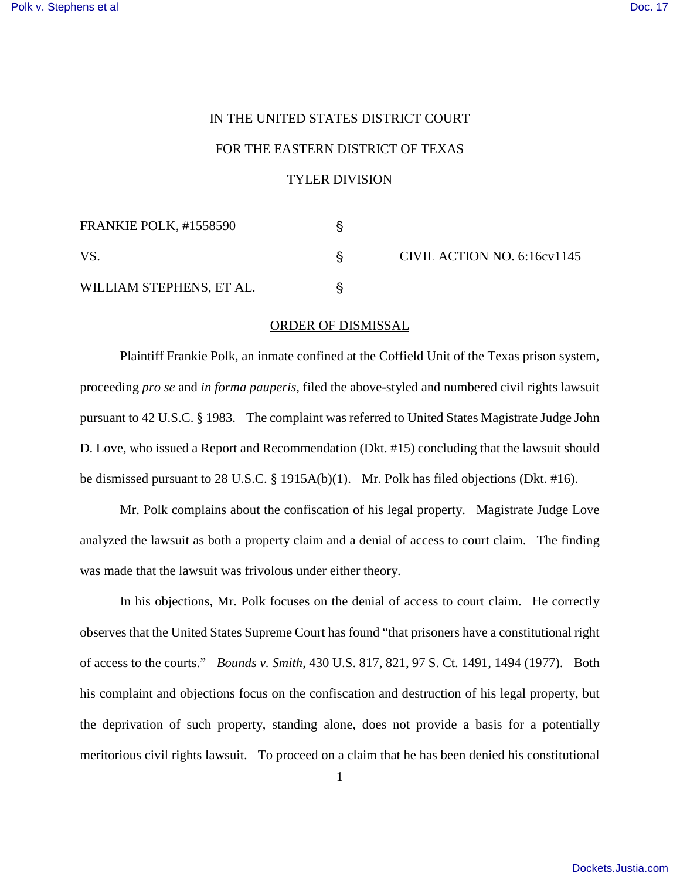## IN THE UNITED STATES DISTRICT COURT FOR THE EASTERN DISTRICT OF TEXAS TYLER DIVISION

| FRANKIE POLK, #1558590   |  | CIVIL ACTION NO. 6:16cv1145 |
|--------------------------|--|-----------------------------|
| VS.                      |  |                             |
| WILLIAM STEPHENS, ET AL. |  |                             |

## ORDER OF DISMISSAL

Plaintiff Frankie Polk, an inmate confined at the Coffield Unit of the Texas prison system, proceeding *pro se* and *in forma pauperis*, filed the above-styled and numbered civil rights lawsuit pursuant to 42 U.S.C. § 1983. The complaint was referred to United States Magistrate Judge John D. Love, who issued a Report and Recommendation (Dkt. #15) concluding that the lawsuit should be dismissed pursuant to 28 U.S.C. § 1915A(b)(1). Mr. Polk has filed objections (Dkt. #16).

Mr. Polk complains about the confiscation of his legal property. Magistrate Judge Love analyzed the lawsuit as both a property claim and a denial of access to court claim. The finding was made that the lawsuit was frivolous under either theory.

In his objections, Mr. Polk focuses on the denial of access to court claim. He correctly observes that the United States Supreme Court has found "that prisoners have a constitutional right of access to the courts." *Bounds v. Smith*, 430 U.S. 817, 821, 97 S. Ct. 1491, 1494 (1977). Both his complaint and objections focus on the confiscation and destruction of his legal property, but the deprivation of such property, standing alone, does not provide a basis for a potentially meritorious civil rights lawsuit. To proceed on a claim that he has been denied his constitutional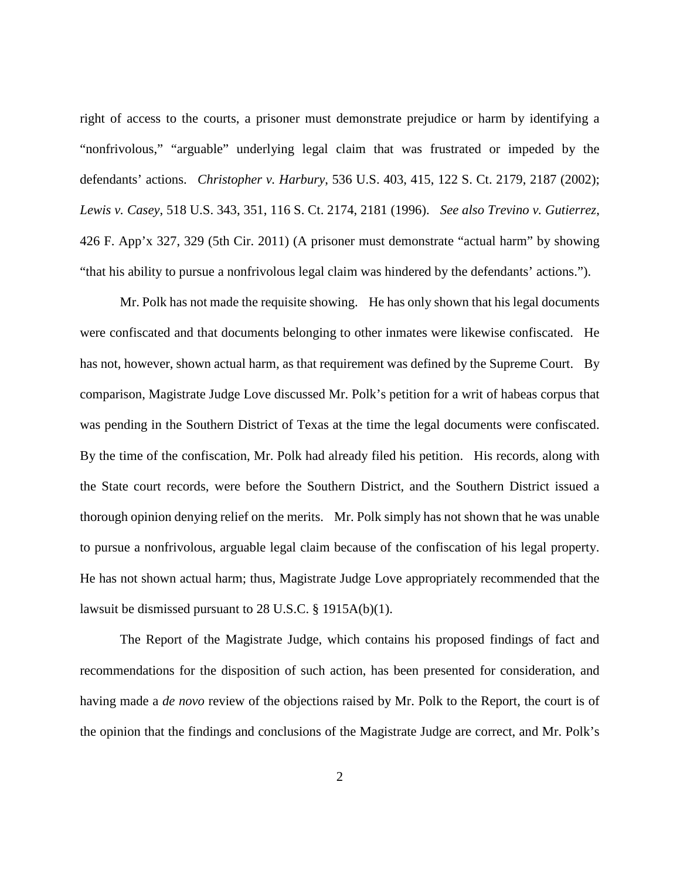right of access to the courts, a prisoner must demonstrate prejudice or harm by identifying a "nonfrivolous," "arguable" underlying legal claim that was frustrated or impeded by the defendants' actions. *Christopher v. Harbury*, 536 U.S. 403, 415, 122 S. Ct. 2179, 2187 (2002); *Lewis v. Casey*, 518 U.S. 343, 351, 116 S. Ct. 2174, 2181 (1996). *See also Trevino v. Gutierrez*, 426 F. App'x 327, 329 (5th Cir. 2011) (A prisoner must demonstrate "actual harm" by showing "that his ability to pursue a nonfrivolous legal claim was hindered by the defendants' actions.").

Mr. Polk has not made the requisite showing. He has only shown that his legal documents were confiscated and that documents belonging to other inmates were likewise confiscated. He has not, however, shown actual harm, as that requirement was defined by the Supreme Court. By comparison, Magistrate Judge Love discussed Mr. Polk's petition for a writ of habeas corpus that was pending in the Southern District of Texas at the time the legal documents were confiscated. By the time of the confiscation, Mr. Polk had already filed his petition. His records, along with the State court records, were before the Southern District, and the Southern District issued a thorough opinion denying relief on the merits. Mr. Polk simply has not shown that he was unable to pursue a nonfrivolous, arguable legal claim because of the confiscation of his legal property. He has not shown actual harm; thus, Magistrate Judge Love appropriately recommended that the lawsuit be dismissed pursuant to 28 U.S.C. § 1915A(b)(1).

The Report of the Magistrate Judge, which contains his proposed findings of fact and recommendations for the disposition of such action, has been presented for consideration, and having made a *de novo* review of the objections raised by Mr. Polk to the Report, the court is of the opinion that the findings and conclusions of the Magistrate Judge are correct, and Mr. Polk's